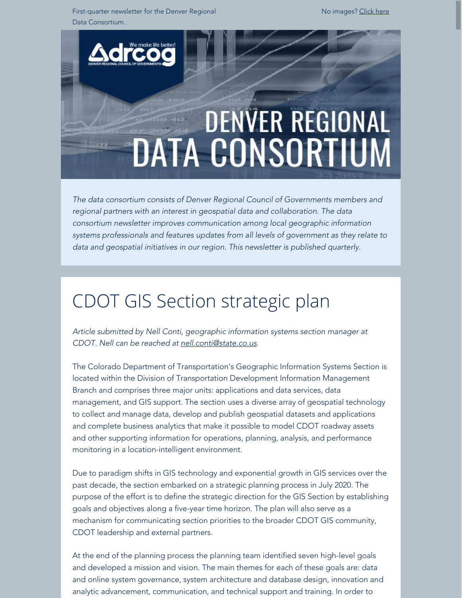First-quarter newsletter for the Denver Regional Data Consortium.

No images? [Click here](https://drcog.createsend1.com/t/d-e-cujdkjk-l-yk/)



*The data consortium consists of Denver Regional Council of Governments members and regional partners with an interest in geospatial data and collaboration. The data consortium newsletter improves communication among local geographic information systems professionals and features updates from all levels of government as they relate to data and geospatial initiatives in our region. This newsletter is published quarterly.*

### CDOT GIS Section strategic plan

*Article submitted by Nell Conti, geographic information systems section manager at CDOT. Nell can be reached at [nell.conti@state.co.us](mailto:nell.conti@state.co.us).*

The Colorado Department of Transportation's Geographic Information Systems Section is located within the Division of Transportation Development Information Management Branch and comprises three major units: applications and data services, data management, and GIS support. The section uses a diverse array of geospatial technology to collect and manage data, develop and publish geospatial datasets and applications and complete business analytics that make it possible to model CDOT roadway assets and other supporting information for operations, planning, analysis, and performance monitoring in a location-intelligent environment.

Due to paradigm shifts in GIS technology and exponential growth in GIS services over the past decade, the section embarked on a strategic planning process in July 2020. The purpose of the effort is to define the strategic direction for the GIS Section by establishing goals and objectives along a five-year time horizon. The plan will also serve as a mechanism for communicating section priorities to the broader CDOT GIS community, CDOT leadership and external partners.

At the end of the planning process the planning team identified seven high-level goals and developed a mission and vision. The main themes for each of these goals are: data and online system governance, system architecture and database design, innovation and analytic advancement, communication, and technical support and training. In order to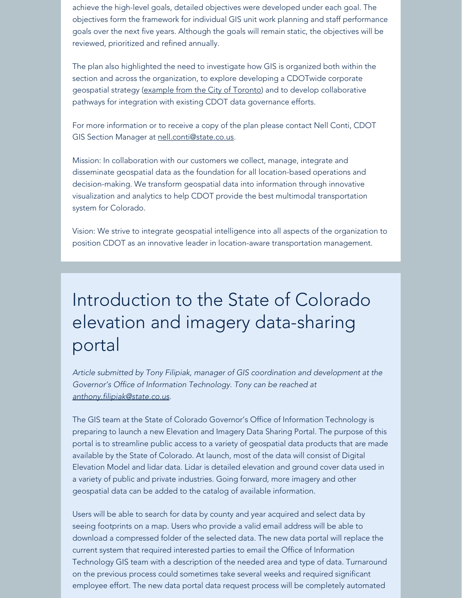achieve the high-level goals, detailed objectives were developed under each goal. The objectives form the framework for individual GIS unit work planning and staff performance goals over the next five years. Although the goals will remain static, the objectives will be reviewed, prioritized and refined annually.

The plan also highlighted the need to investigate how GIS is organized both within the section and across the organization, to explore developing a CDOTwide corporate geospatial strategy ([example from the City of Toronto](https://drcog.createsend1.com/t/d-l-cujdkjk-l-y/)) and to develop collaborative pathways for integration with existing CDOT data governance efforts.

For more information or to receive a copy of the plan please contact Nell Conti, CDOT GIS Section Manager at [nell.conti@state.co.us](mailto:nell.conti@state.co.us).

Mission: In collaboration with our customers we collect, manage, integrate and disseminate geospatial data as the foundation for all location-based operations and decision-making. We transform geospatial data into information through innovative visualization and analytics to help CDOT provide the best multimodal transportation system for Colorado.

Vision: We strive to integrate geospatial intelligence into all aspects of the organization to position CDOT as an innovative leader in location-aware transportation management.

### Introduction to the State of Colorado elevation and imagery data-sharing portal

*Article submitted by Tony Filipiak, manager of GIS coordination and development at the Governor's Office of Information Technology. Tony can be reached at [anthony.filipiak@state.co.us](mailto:anthony.filipiak@state.co.us).*

The GIS team at the State of Colorado Governor's Office of Information Technology is preparing to launch a new Elevation and Imagery Data Sharing Portal. The purpose of this portal is to streamline public access to a variety of geospatial data products that are made available by the State of Colorado. At launch, most of the data will consist of Digital Elevation Model and lidar data. Lidar is detailed elevation and ground cover data used in a variety of public and private industries. Going forward, more imagery and other geospatial data can be added to the catalog of available information.

Users will be able to search for data by county and year acquired and select data by seeing footprints on a map. Users who provide a valid email address will be able to download a compressed folder of the selected data. The new data portal will replace the current system that required interested parties to email the Office of Information Technology GIS team with a description of the needed area and type of data. Turnaround on the previous process could sometimes take several weeks and required significant employee effort. The new data portal data request process will be completely automated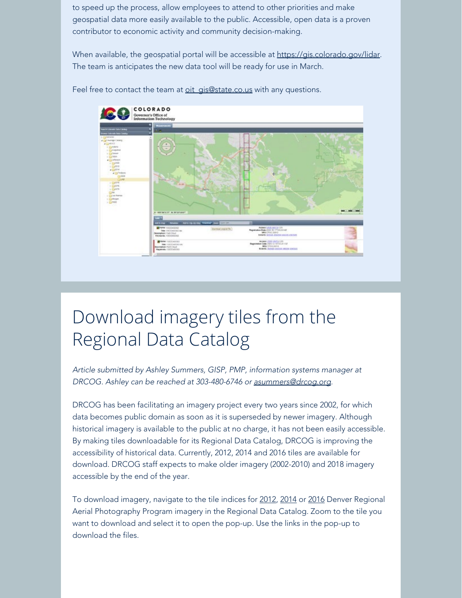to speed up the process, allow employees to attend to other priorities and make geospatial data more easily available to the public. Accessible, open data is a proven contributor to economic activity and community decision-making.

When available, the geospatial portal will be accessible at [https://gis.colorado.gov/lidar.](https://drcog.createsend1.com/t/d-l-cujdkjk-l-j/) The team is anticipates the new data tool will be ready for use in March.



Feel free to contact the team at oit gis@state.co.us with any questions.

# Download imagery tiles from the Regional Data Catalog

*Article submitted by Ashley Summers, GISP, PMP, information systems manager at DRCOG. Ashley can be reached at 303-480-6746 or [asummers@drcog.org](mailto:asummers@drcog.org).*

DRCOG has been facilitating an imagery project every two years since 2002, for which data becomes public domain as soon as it is superseded by newer imagery. Although historical imagery is available to the public at no charge, it has not been easily accessible. By making tiles downloadable for its Regional Data Catalog, DRCOG is improving the accessibility of historical data. Currently, 2012, 2014 and 2016 tiles are available for download. DRCOG staff expects to make older imagery (2002-2010) and 2018 imagery accessible by the end of the year.

To download imagery, navigate to the tile indices for [2012](https://drcog.createsend1.com/t/d-l-cujdkjk-l-t/), [2014](https://drcog.createsend1.com/t/d-l-cujdkjk-l-i/) or [2016](https://drcog.createsend1.com/t/d-l-cujdkjk-l-d/) Denver Regional Aerial Photography Program imagery in the Regional Data Catalog. Zoom to the tile you want to download and select it to open the pop-up. Use the links in the pop-up to download the files.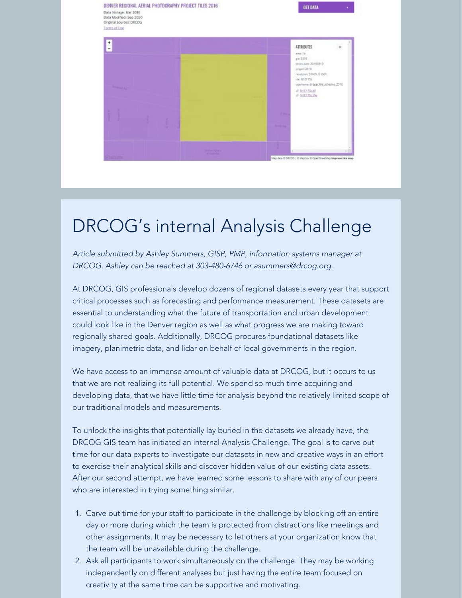

### DRCOG's internal Analysis Challenge

*Article submitted by Ashley Summers, GISP, PMP, information systems manager at DRCOG. Ashley can be reached at 303-480-6746 or [asummers@drcog.org](mailto:asummers@drcog.org).*

At DRCOG, GIS professionals develop dozens of regional datasets every year that support critical processes such as forecasting and performance measurement. These datasets are essential to understanding what the future of transportation and urban development could look like in the Denver region as well as what progress we are making toward regionally shared goals. Additionally, DRCOG procures foundational datasets like imagery, planimetric data, and lidar on behalf of local governments in the region.

We have access to an immense amount of valuable data at DRCOG, but it occurs to us that we are not realizing its full potential. We spend so much time acquiring and developing data, that we have little time for analysis beyond the relatively limited scope of our traditional models and measurements.

To unlock the insights that potentially lay buried in the datasets we already have, the DRCOG GIS team has initiated an internal Analysis Challenge. The goal is to carve out time for our data experts to investigate our datasets in new and creative ways in an effort to exercise their analytical skills and discover hidden value of our existing data assets. After our second attempt, we have learned some lessons to share with any of our peers who are interested in trying something similar.

- 1. Carve out time for your staff to participate in the challenge by blocking off an entire day or more during which the team is protected from distractions like meetings and other assignments. It may be necessary to let others at your organization know that the team will be unavailable during the challenge.
- 2. Ask all participants to work simultaneously on the challenge. They may be working independently on different analyses but just having the entire team focused on creativity at the same time can be supportive and motivating.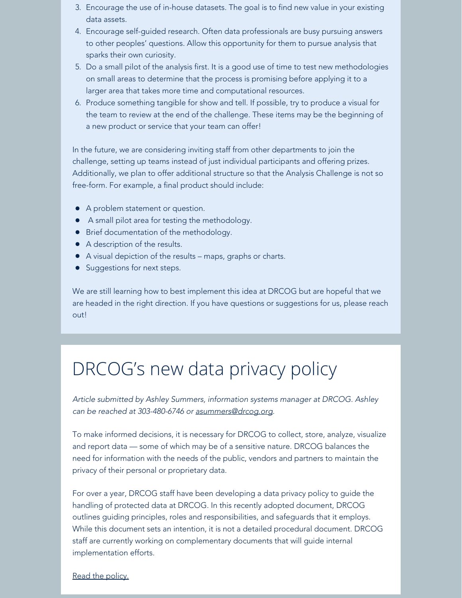- 3. Encourage the use of in-house datasets. The goal is to find new value in your existing data assets.
- 4. Encourage self-guided research. Often data professionals are busy pursuing answers to other peoples' questions. Allow this opportunity for them to pursue analysis that sparks their own curiosity.
- 5. Do a small pilot of the analysis first. It is a good use of time to test new methodologies on small areas to determine that the process is promising before applying it to a larger area that takes more time and computational resources.
- 6. Produce something tangible for show and tell. If possible, try to produce a visual for the team to review at the end of the challenge. These items may be the beginning of a new product or service that your team can offer!

In the future, we are considering inviting staff from other departments to join the challenge, setting up teams instead of just individual participants and offering prizes. Additionally, we plan to offer additional structure so that the Analysis Challenge is not so free-form. For example, a final product should include:

- A problem statement or question.
- A small pilot area for testing the methodology.
- **•** Brief documentation of the methodology.
- A description of the results.
- A visual depiction of the results maps, graphs or charts.
- **Suggestions for next steps.**

We are still learning how to best implement this idea at DRCOG but are hopeful that we are headed in the right direction. If you have questions or suggestions for us, please reach out!

### DRCOG's new data privacy policy

*Article submitted by Ashley Summers, information systems manager at DRCOG. Ashley can be reached at 303-480-6746 or [asummers@drcog.org](mailto:asummers@drcog.org).*

To make informed decisions, it is necessary for DRCOG to collect, store, analyze, visualize and report data — some of which may be of a sensitive nature. DRCOG balances the need for information with the needs of the public, vendors and partners to maintain the privacy of their personal or proprietary data.

For over a year, DRCOG staff have been developing a data privacy policy to guide the handling of protected data at DRCOG. In this recently adopted document, DRCOG outlines guiding principles, roles and responsibilities, and safeguards that it employs. While this document sets an intention, it is not a detailed procedural document. DRCOG staff are currently working on complementary documents that will guide internal implementation efforts.

#### [Read the policy.](https://drcog.createsend1.com/t/d-l-cujdkjk-l-h/)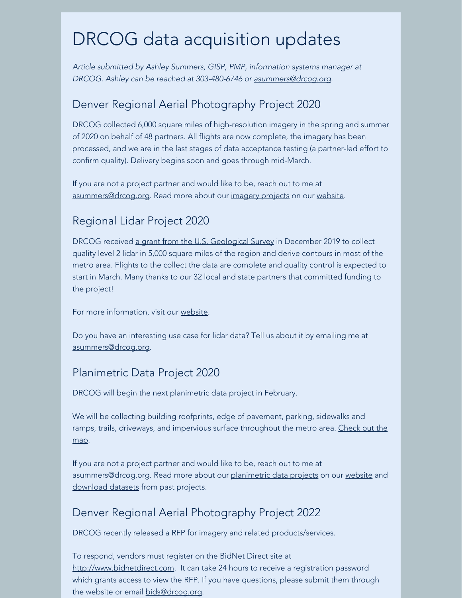### DRCOG data acquisition updates

*Article submitted by Ashley Summers, GISP, PMP, information systems manager at DRCOG. Ashley can be reached at 303-480-6746 or [asummers@drcog.org](mailto:asummers@drcog.org).*

#### Denver Regional Aerial Photography Project 2020

DRCOG collected 6,000 square miles of high-resolution imagery in the spring and summer of 2020 on behalf of 48 partners. All flights are now complete, the imagery has been processed, and we are in the last stages of data acceptance testing (a partner-led effort to confirm quality). Delivery begins soon and goes through mid-March.

If you are not a project partner and would like to be, reach out to me at [asummers@drcog.org](mailto:asummers@drcog.org). Read more about our [imagery projects](https://drcog.createsend1.com/t/d-l-cujdkjk-l-k/) on our [website](https://drcog.createsend1.com/t/d-l-cujdkjk-l-u/).

### Regional Lidar Project 2020

DRCOG received [a grant from the U.S. Geological Survey](https://drcog.createsend1.com/t/d-l-cujdkjk-l-o/) in December 2019 to collect quality level 2 lidar in 5,000 square miles of the region and derive contours in most of the metro area. Flights to the collect the data are complete and quality control is expected to start in March. Many thanks to our 32 local and state partners that committed funding to the project!

For more information, visit our [website](https://drcog.createsend1.com/t/d-l-cujdkjk-l-b/).

Do you have an interesting use case for lidar data? Tell us about it by emailing me at [asummers@drcog.org](mailto:asummers@drcog.org).

#### Planimetric Data Project 2020

DRCOG will begin the next planimetric data project in February.

We will be collecting building roofprints, edge of pavement, parking, sidewalks and ramps, trails, driveways, and impervious surface throughout the metro area. [Check out the](https://drcog.createsend1.com/t/d-l-cujdkjk-l-n/) [map](https://drcog.createsend1.com/t/d-l-cujdkjk-l-n/).

If you are not a project partner and would like to be, reach out to me at asummers@drcog.org. Read more about our [planimetric data projects](https://drcog.createsend1.com/t/d-l-cujdkjk-l-p/) on our [website](https://drcog.createsend1.com/t/d-l-cujdkjk-l-m/) and [download datasets](https://drcog.createsend1.com/t/d-l-cujdkjk-l-c/) from past projects.

#### Denver Regional Aerial Photography Project 2022

DRCOG recently released a RFP for imagery and related products/services.

To respond, vendors must register on the BidNet Direct site at [http://www.bidnetdirect.com](https://drcog.createsend1.com/t/d-l-cujdkjk-l-q/). It can take 24 hours to receive a registration password which grants access to view the RFP. If you have questions, please submit them through the website or email [bids@drcog.org](mailto:bids@drcog.org).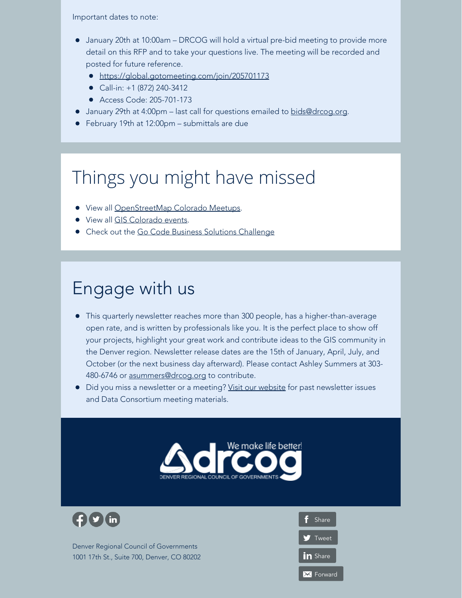Important dates to note:

- January 20th at 10:00am DRCOG will hold a virtual pre-bid meeting to provide more detail on this RFP and to take your questions live. The meeting will be recorded and posted for future reference.
	- [https://global.gotomeeting.com/join/205701173](https://drcog.createsend1.com/t/d-l-cujdkjk-l-a/)
	- Call-in: +1 (872) 240-3412
	- Access Code: 205-701-173
- **January 29th at 4:00pm last call for questions emailed to [bids@drcog.org](mailto:bids@drcog.org).**
- February 19th at 12:00pm submittals are due

## Things you might have missed

- View all [OpenStreetMap Colorado Meetups.](https://drcog.createsend1.com/t/d-l-cujdkjk-l-z/)
- View all [GIS Colorado events](https://drcog.createsend1.com/t/d-l-cujdkjk-l-v/).
- Check out the [Go Code Business Solutions Challenge](https://drcog.createsend1.com/t/d-l-cujdkjk-l-e/)

### Engage with us

- This quarterly newsletter reaches more than 300 people, has a higher-than-average open rate, and is written by professionals like you. It is the perfect place to show off your projects, highlight your great work and contribute ideas to the GIS community in the Denver region. Newsletter release dates are the 15th of January, April, July, and October (or the next business day afterward). Please contact Ashley Summers at 303- 480-6746 or [asummers@drcog.org](mailto:asummers@drcog.org) to contribute.
- Did you miss a newsletter or a meeting? [Visit our website](https://drcog.createsend1.com/t/d-l-cujdkjk-l-s/) for past newsletter issues and Data Consortium meeting materials.





Denver Regional Council of Governments 1001 17th St., Suite 700, Denver, CO 80202

f [Share](https://drcog.createsend1.com/t/d-fb-cujdkjk-l-yu/) **T** [Tweet](https://drcog.createsend1.com/t/d-tw-cujdkjk-l-jl/) in [Share](https://drcog.createsend1.com/t/d-li-cujdkjk-l-jr/) **X** [Forward](https://drcog.forwardtomyfriend.com/d-l-2AD73FFF-cujdkjk-l-jy)